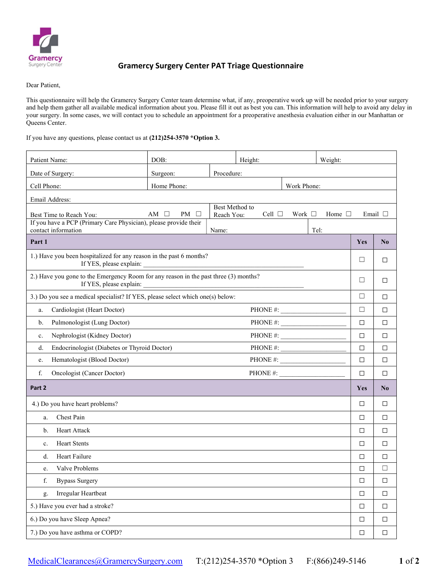

## Gramercy Surgery Center PAT Triage Questionnaire

Dear Patient,

This questionnaire will help the Gramercy Surgery Center team determine what, if any, preoperative work up will be needed prior to your surgery and help them gather all available medical information about you. Please fill it out as best you can. This information will help to avoid any delay in your surgery. In some cases, we will contact you to schedule an appointment for a preoperative anesthesia evaluation either in our Manhattan or Queens Center.

If you have any questions, please contact us at (212)254-3570 \*Option 3.

| Patient Name:                                                                                                   | DOB:                      |                              | Height:                  | Weight:     |                |        |                 |  |  |
|-----------------------------------------------------------------------------------------------------------------|---------------------------|------------------------------|--------------------------|-------------|----------------|--------|-----------------|--|--|
| Date of Surgery:                                                                                                | Surgeon:                  | Procedure:                   |                          |             |                |        |                 |  |  |
| Cell Phone:                                                                                                     | Home Phone:               |                              |                          | Work Phone: |                |        |                 |  |  |
| Email Address:                                                                                                  |                           |                              |                          |             |                |        |                 |  |  |
| Best Time to Reach You:                                                                                         | AM $\Box$<br>PM<br>$\Box$ | Best Method to<br>Reach You: | Cell $\Box$              | Work $\Box$ | Home $\square$ |        | Email $\square$ |  |  |
| If you have a PCP (Primary Care Physician), please provide their                                                |                           |                              |                          |             |                |        |                 |  |  |
| contact information<br>Part 1                                                                                   |                           | Name:                        |                          |             | Tel:           | Yes    | $\bf No$        |  |  |
|                                                                                                                 |                           |                              |                          |             |                |        |                 |  |  |
| 1.) Have you been hospitalized for any reason in the past 6 months?<br>If YES, please explain:                  |                           |                              |                          |             |                | □      | □               |  |  |
| 2.) Have you gone to the Emergency Room for any reason in the past three (3) months?<br>If YES, please explain: |                           |                              |                          |             |                | □      | □               |  |  |
| 3.) Do you see a medical specialist? If YES, please select which one(s) below:                                  |                           |                              |                          |             |                | $\Box$ | □               |  |  |
| Cardiologist (Heart Doctor)<br>a.                                                                               |                           |                              | PHONE #: $\qquad \qquad$ |             |                | $\Box$ | □               |  |  |
| Pulmonologist (Lung Doctor)<br>b.                                                                               |                           |                              |                          |             |                | $\Box$ | □               |  |  |
| Nephrologist (Kidney Doctor)<br>c.                                                                              |                           |                              | PHONE #: $\qquad \qquad$ |             |                | $\Box$ | □               |  |  |
| Endocrinologist (Diabetes or Thyroid Doctor)<br>d.                                                              |                           |                              | PHONE #:                 |             |                | $\Box$ | □               |  |  |
| Hematologist (Blood Doctor)<br>e.                                                                               |                           |                              | PHONE #: $\qquad \qquad$ |             |                | $\Box$ | □               |  |  |
| f.<br><b>Oncologist (Cancer Doctor)</b>                                                                         |                           |                              | PHONE #:                 |             |                | $\Box$ | □               |  |  |
| Part 2                                                                                                          |                           |                              |                          |             |                | Yes    | N <sub>0</sub>  |  |  |
| 4.) Do you have heart problems?                                                                                 |                           |                              |                          |             |                | □      | □               |  |  |
| Chest Pain<br>a.                                                                                                |                           |                              |                          |             |                | $\Box$ | □               |  |  |
| <b>Heart Attack</b><br>b.                                                                                       |                           |                              |                          |             |                | $\Box$ | □               |  |  |
| <b>Heart Stents</b><br>c.                                                                                       |                           |                              |                          |             |                | $\Box$ | □               |  |  |
| <b>Heart Failure</b><br>d.                                                                                      |                           |                              |                          |             |                | $\Box$ | □               |  |  |
| Valve Problems<br>e.                                                                                            |                           |                              |                          |             |                | $\Box$ | □               |  |  |
| <b>Bypass Surgery</b><br>f.                                                                                     |                           |                              |                          |             |                | $\Box$ | $\Box$          |  |  |
| Irregular Heartbeat<br>g.                                                                                       |                           |                              |                          |             |                | $\Box$ | $\Box$          |  |  |
| 5.) Have you ever had a stroke?                                                                                 |                           |                              |                          |             |                | $\Box$ | $\Box$          |  |  |
| 6.) Do you have Sleep Apnea?                                                                                    |                           |                              |                          |             |                | $\Box$ | $\Box$          |  |  |
| 7.) Do you have asthma or COPD?                                                                                 |                           |                              |                          |             |                | $\Box$ | $\Box$          |  |  |